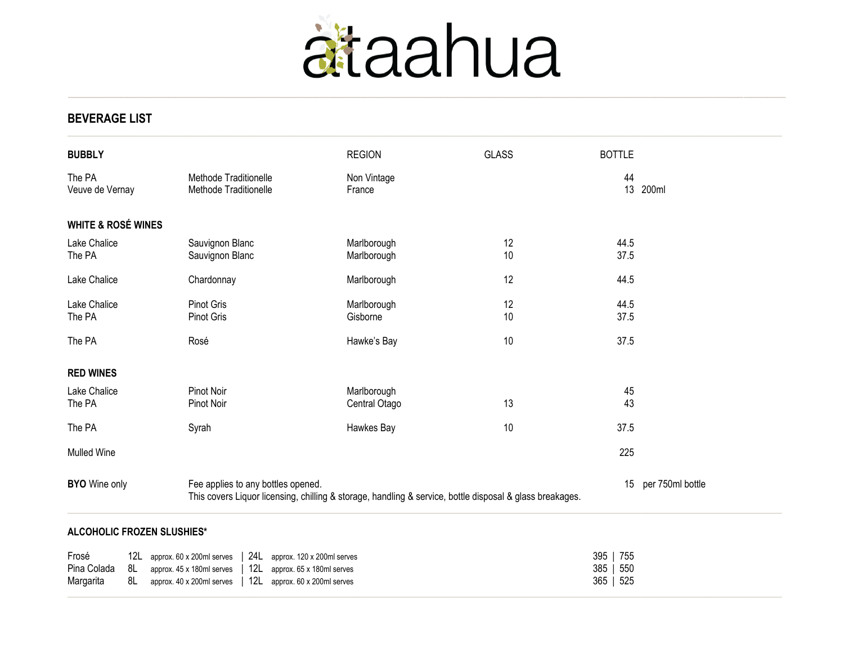

**BEVERAGE LIST**

| <b>BUBBLY</b>                                                                                                                                                          |                                                                   |                                                                                         |  |                                                                                                  | <b>REGION</b>                | <b>GLASS</b>     |                   | <b>BOTTLE</b>     |       |
|------------------------------------------------------------------------------------------------------------------------------------------------------------------------|-------------------------------------------------------------------|-----------------------------------------------------------------------------------------|--|--------------------------------------------------------------------------------------------------|------------------------------|------------------|-------------------|-------------------|-------|
| The PA                                                                                                                                                                 | Methode Traditionelle<br>Veuve de Vernay<br>Methode Traditionelle |                                                                                         |  |                                                                                                  | Non Vintage<br>France        |                  |                   | 44<br>13          | 200ml |
| <b>WHITE &amp; ROSÉ WINES</b>                                                                                                                                          |                                                                   |                                                                                         |  |                                                                                                  |                              |                  |                   |                   |       |
| Lake Chalice<br>The PA                                                                                                                                                 |                                                                   | Sauvignon Blanc<br>Sauvignon Blanc                                                      |  |                                                                                                  | Marlborough<br>Marlborough   | 12<br>10         |                   | 44.5<br>37.5      |       |
| Lake Chalice                                                                                                                                                           |                                                                   | Chardonnay                                                                              |  |                                                                                                  | Marlborough                  | 12               |                   | 44.5              |       |
| Lake Chalice<br>The PA                                                                                                                                                 |                                                                   | <b>Pinot Gris</b><br><b>Pinot Gris</b>                                                  |  |                                                                                                  | Marlborough<br>Gisborne      | 12<br>10         |                   | 44.5<br>37.5      |       |
| The PA                                                                                                                                                                 |                                                                   | Rosé                                                                                    |  |                                                                                                  | Hawke's Bay                  | 10               |                   | 37.5              |       |
| <b>RED WINES</b>                                                                                                                                                       |                                                                   |                                                                                         |  |                                                                                                  |                              |                  |                   |                   |       |
| Lake Chalice<br>The PA                                                                                                                                                 |                                                                   | Pinot Noir<br>Pinot Noir                                                                |  |                                                                                                  | Marlborough<br>Central Otago | 13               |                   | 45<br>43          |       |
| The PA                                                                                                                                                                 |                                                                   | Syrah                                                                                   |  |                                                                                                  | Hawkes Bay                   | 10               |                   | 37.5              |       |
| <b>Mulled Wine</b>                                                                                                                                                     |                                                                   |                                                                                         |  |                                                                                                  |                              |                  |                   | 225               |       |
| <b>BYO</b> Wine only<br>Fee applies to any bottles opened.<br>This covers Liquor licensing, chilling & storage, handling & service, bottle disposal & glass breakages. |                                                                   |                                                                                         |  |                                                                                                  | 15                           | per 750ml bottle |                   |                   |       |
|                                                                                                                                                                        |                                                                   | <b>ALCOHOLIC FROZEN SLUSHIES*</b>                                                       |  |                                                                                                  |                              |                  |                   |                   |       |
| Frosé<br>Pina Colada<br>Margarita                                                                                                                                      | 8L<br>8L                                                          | 12L approx. 60 x 200ml serves<br>approx. 45 x 180ml serves<br>approx. 40 x 200ml serves |  | 24L approx. 120 x 200ml serves<br>12L approx. 65 x 180ml serves<br>12L approx. 60 x 200ml serves |                              |                  | 395<br>385<br>365 | 755<br>550<br>525 |       |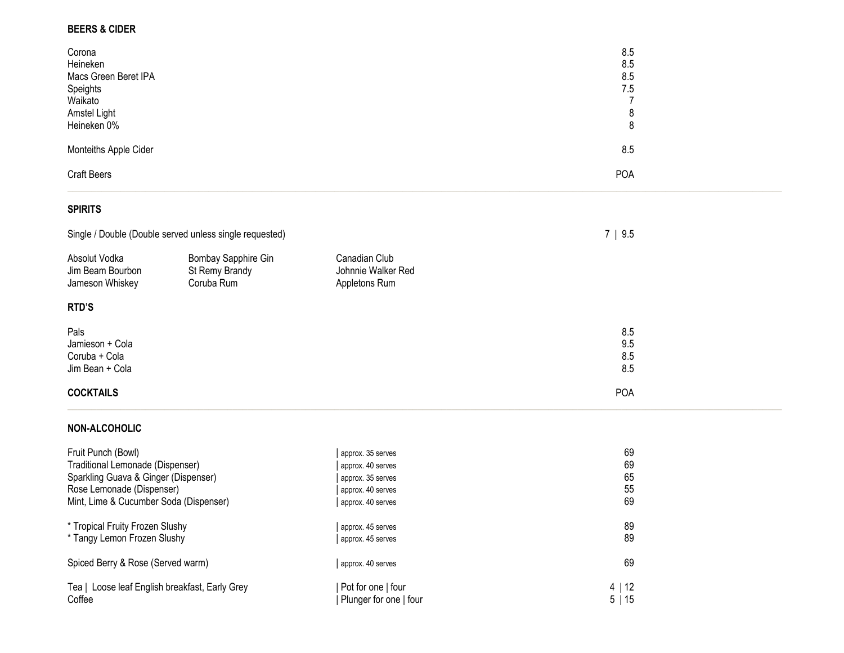# **BEERS & CIDER**

| Corona<br>Heineken<br>Macs Green Beret IPA<br>Speights<br>Waikato<br>Amstel Light<br>Heineken 0% | 8.5<br>8.5<br>8.5<br>7.5 |  |
|--------------------------------------------------------------------------------------------------|--------------------------|--|
| Monteiths Apple Cider                                                                            | 8.5                      |  |
| <b>Craft Beers</b>                                                                               | <b>POA</b>               |  |

## **SPIRITS**

|                                                             | Single / Double (Double served unless single requested) |                                                      | 7   9.5                  |  |  |
|-------------------------------------------------------------|---------------------------------------------------------|------------------------------------------------------|--------------------------|--|--|
| Absolut Vodka<br>Jim Beam Bourbon<br>Jameson Whiskey        | Bombay Sapphire Gin<br>St Remy Brandy<br>Coruba Rum     | Canadian Club<br>Johnnie Walker Red<br>Appletons Rum |                          |  |  |
| RTD'S                                                       |                                                         |                                                      |                          |  |  |
| Pals<br>Jamieson + Cola<br>Coruba + Cola<br>Jim Bean + Cola |                                                         |                                                      | 8.5<br>9.5<br>8.5<br>8.5 |  |  |
| <b>COCKTAILS</b>                                            |                                                         |                                                      | <b>POA</b>               |  |  |

#### **NON -ALCOHOLIC**

| Fruit Punch (Bowl)                                       | approx. 35 serves                            | 69                |
|----------------------------------------------------------|----------------------------------------------|-------------------|
| Traditional Lemonade (Dispenser)                         | approx. 40 serves                            | 69                |
| Sparkling Guava & Ginger (Dispenser)                     | approx. 35 serves                            | 65                |
| Rose Lemonade (Dispenser)                                | approx. 40 serves                            | 55                |
| Mint, Lime & Cucumber Soda (Dispenser)                   | approx. 40 serves                            | 69                |
| * Tropical Fruity Frozen Slushy                          | approx. 45 serves                            | 89                |
| * Tangy Lemon Frozen Slushy                              | approx. 45 serves                            | 89                |
| Spiced Berry & Rose (Served warm)                        | approx. 40 serves                            | 69                |
| Tea   Loose leaf English breakfast, Early Grey<br>Coffee | Pot for one   four<br>Plunger for one   four | 4   12<br>5<br>15 |